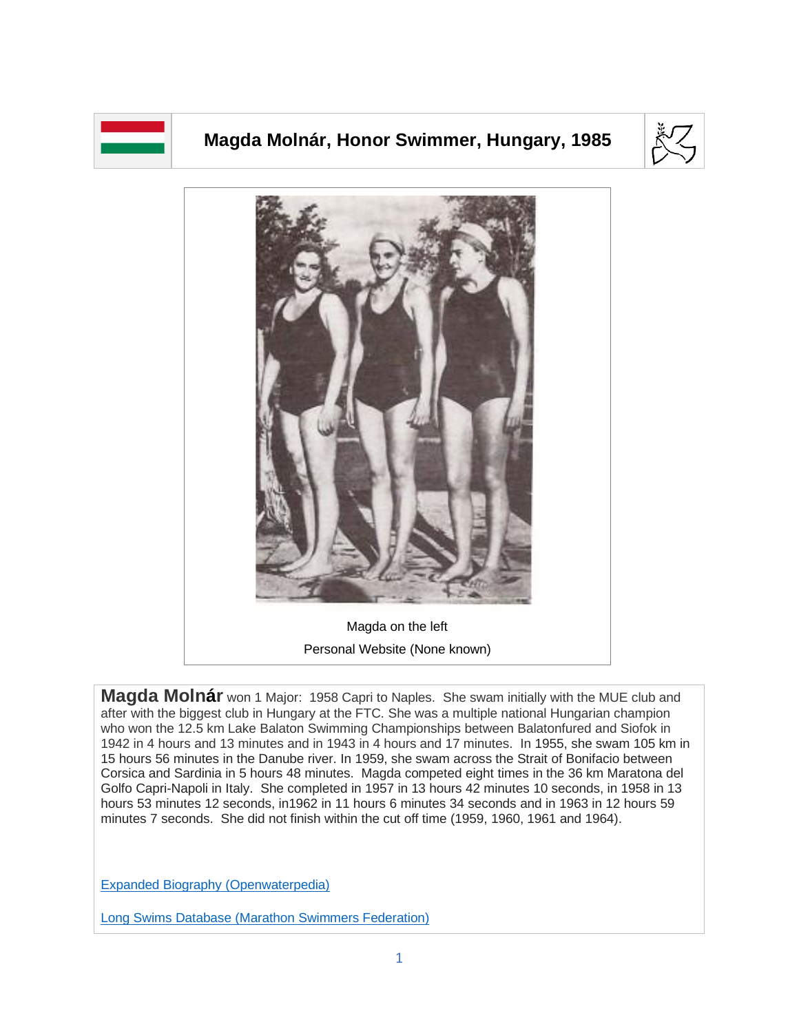

## **Magda Molnár, Honor Swimmer, Hungary, 1985**





**Magda Molnár** won 1 Major: 1958 Capri to Naples. She swam initially with the MUE club and after with the biggest club in Hungary at the FTC. She was a multiple national Hungarian champion who won the 12.5 km Lake Balaton Swimming Championships between Balatonfured and Siofok in 1942 in 4 hours and 13 minutes and in 1943 in 4 hours and 17 minutes. In 1955, she swam 105 km in 15 hours 56 minutes in the Danube river. In 1959, she swam across the Strait of Bonifacio between Corsica and Sardinia in 5 hours 48 minutes. Magda competed eight times in the 36 km Maratona del Golfo Capri-Napoli in Italy. She completed in 1957 in 13 hours 42 minutes 10 seconds, in 1958 in 13 hours 53 minutes 12 seconds, in1962 in 11 hours 6 minutes 34 seconds and in 1963 in 12 hours 59 minutes 7 seconds. She did not finish within the cut off time (1959, 1960, 1961 and 1964).

[Expanded Biography](https://www.openwaterpedia.com/index.php?title=Magda_Molnar) (Openwaterpedia)

Long Swims Database [\(Marathon Swimmers Federation\)](https://db.marathonswimmers.org/p/magda-molnar/)